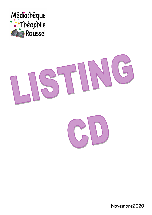



Novembre2020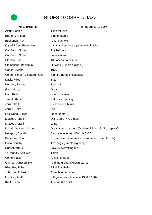## BLUES / GOSPEL / JAZZ

| Alour, Sophie                   | Time for love                                        |
|---------------------------------|------------------------------------------------------|
| Brahem, Anouar                  | Blue maqams                                          |
| Buchanan, Roy                   | American axe                                         |
| Caratini Jazz Ensemble          | Instants d'orchestre (Simple digipack)               |
| Cat-Berro, Sonia                | Toy balloons                                         |
| Cat-Berro, Sonia                | Lonely siren                                         |
| Clapton, Eric                   | 461 ocean boulevard                                  |
| Clementine, Benjamin            | Illusions (Simple digipack)                          |
| Cohen, Avishaï                  | 1970                                                 |
| Corser, Peter / Dalgaard, Johan | Sighfire (Simple digipack)                           |
| Davis, Miles                    | Tutu                                                 |
| Dutronc, Thomas                 | Frenchy                                              |
| Glyk, Kinga                     | Dream                                                |
| Hart, Beth                      | War in my mind                                       |
| Jamal, Ahmad                    | Saturday morning                                     |
| Jarret, Keith                   | 3 essential albums                                   |
| Jarrett, Keith                  | Rio                                                  |
| Lockwood, Didier                | Open doors                                           |
| Maalouf, Ibrahim                | Dia (Coffret 4 CD box)                               |
| Maalouf, Ibrahim                | Wind                                                 |
| Mclorin Salvant, Cecile         | Dreams and daggers (Double digipack 2 CD digipack)   |
| Nougaro, Claude                 | Sa majesté le jazz (Double 2 CD)                     |
| Personne, Paul                  | Funambule (ou tentative de survie en milieu hostile) |
| Popa Chubby                     | Two dogs (Simple digipack)                           |
| Russel, Arthur                  | Love is overtaking me                                |
| Taj Mahal / Keb' Mo'            | TajMo                                                |
| Conte, Paolo                    | Amazing game                                         |
| Gunnar, Jansson Bror            | And the great unknown part 2                         |
| <b>Blind Boy Fuller</b>         | <b>Blind Boy Fuller</b>                              |
| Johnson, Robert                 | Complete recordings                                  |
| Franklin, Aretha                | Intégrale des albums de 1956 à 1962                  |
| Krall, Diana                    | Turn up the quiet                                    |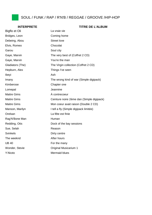## SOUL / FUNK / RAP / R'N'B / REGGAE / GROOVE /HIP-HOP

| Bigflo et Oli      | La vraie vie                              |
|--------------------|-------------------------------------------|
| Bridges, Leon      | Coming home                               |
| Debeing, Abou      | <b>Street love</b>                        |
| Elvis, Romeo       | Chocolat                                  |
| Garou              | Soul city                                 |
| Gaye, Marvin       | The very best of (Coffret 2 CD)           |
| Gaye, Marvin       | You're the man                            |
| Gladiators (The)   | The Virgin collection (Coffret 2 CD)      |
| Hepburn, Alex      | Things I've seen                          |
| Ibeyi              | Ash                                       |
| Imany              | The wrong kind of war (Simple digipack)   |
| Kimberose          | Chapter one                               |
| Lomepal            | Jeannine                                  |
| <b>Maitre Gims</b> | À contrecoeur                             |
| <b>Maitre Gims</b> | Ceinture noire 2ème dan (Simple digipack) |
| <b>Maitre Gims</b> | Mon coeur avait raison (Double 2 CD)      |
| Manson, Marilyn    | I tell a fly (Simple digipack limitée)    |
| Orelsan            | La fête est finie                         |
| Rag'N'Bone Man     | Human                                     |
| Redding, Otis      | Dock of the bay sessions                  |
| Sue, Selah         | Reason                                    |
| <b>Svinkels</b>    | Dirty centre                              |
| The weeknd         | After hours                               |
| <b>UB 40</b>       | For the many                              |
| Wonder, Stevie     | <b>Original Musicarium 1</b>              |
| Y'Akoto            | <b>Mermaid blues</b>                      |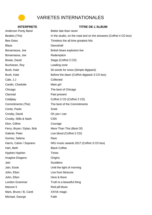

## VARIETES INTERNATIONALES

## **INTERPRETE TITRE DE L'ALBUM** Anderson Ponty Band Better late than never Beatles (The) In the studio, on the road and on the airwaves (Coffret 4 CD box) Bee Gees Timeless the all time greatest hits Blaze Dancehall Bonamassa, Joe British blues explosion live Bonamassa, Joe Redemption Bowie, David Stage (Coffret 2 CD) Buchanan, Roy **Loading zone** Bush, Kate 50 words for snow (Simple digipack) Bush, Kate Before the dawn (Coffret digipack 3 CD box) Cale, J.J Collected Cardin, Charlotte Main girl Chicago The best of Chicago Clannad **Past present** Coldplay Coffret 2 CD (Coffret 2 CD) Commitments (The) The best of the Commitments Conte, Paolo **Snob** Crosby, David **Oh yes I can** Crosby, Stills & Nash CSN Dion, Céline **Courage** Ferry, Bryan / Dylan, Bob More Than This (Best Of) Gabriel, Peter Live blood (Coffret 2 CD) Gomez, Selena Rare Harris, Calvin / Soprano NRJ music awards 2017 (Coffret 3 CD box) Hart, Beth Black Coffee Hyphen Hyphen Times **Imagine Dragons Origins** Jain Souldiers Jain, Essie Until the light of morning John, Elton **Live from Moscow** John, Elton Here & there London Grammar Truth is a beautiful thing Maroon 5 Red pill blues Mars, Bruno / B, Cardi XXIVk magic Michael, George **Faith**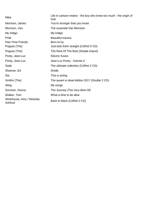| Mika                                 | Life in cartoon motion - the boy who knew too much - the origin of<br>love |
|--------------------------------------|----------------------------------------------------------------------------|
| Morrison, James                      | You're stronger than you know                                              |
| Morrison, Van                        | The essential Van Morrison                                                 |
| My Indigo                            | My Indigo                                                                  |
| P!Nk                                 | Beautiful trauma                                                           |
| <b>Part-Time Friends</b>             | Born to try                                                                |
| Pogues (The)                         | Just look them straight (Coffret 5 CD)                                     |
| Pogues (The)                         | The Rest Of The Best (Simple import)                                       |
| Ponty, Jean-Luc                      | Electric fusion                                                            |
| Ponty, Jean-Luc                      | Jean-Luc Ponty - Volume 2                                                  |
| Sade                                 | The ultimate collection (Coffret 2 CD)                                     |
| Sheeran, Ed                          | Divide                                                                     |
| Sia                                  | This is acting                                                             |
| Smiths (The)                         | The queen is dead édition 2017 (Double 2 CD)                               |
| Sting                                | My songs                                                                   |
| Summer, Donna                        | The Journey (The Very Best Of)                                             |
| Walker, Tom                          | What a time to be alive                                                    |
| Winehouse, Amy / Nickolas<br>Ashford | Back to black (Coffret 2 CD)                                               |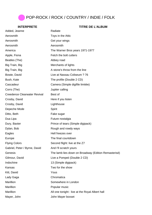## POP-ROCK / ROCK / COUNTRY / INDIE / FOLK

| Added, Jeanne                       | Radiate                                              |
|-------------------------------------|------------------------------------------------------|
| Aerosmith                           | Toys in the Attic                                    |
| Aerosmith                           | Get your wings                                       |
| Aerosmith                           | Aerosmith                                            |
| America                             | The Warner Bros years 1971-1977                      |
| Apple, Fiona                        | Fetch the bolt cutters                               |
| Beatles (The)                       | Abbey road                                           |
| Big Train, Big                      | Merchants of lights                                  |
| Big Train, Big                      | A stone's throw from the line                        |
| Bowie, David                        | Live at Nassau Coliseum ? 76                         |
| Bush, Kate                          | The profile (Double 2 CD)                            |
| Cascadeur                           | Camera (Simple digifile limitée)                     |
| Corrs (The)                         | Jupiter calling                                      |
| <b>Creedence Clearwater Revival</b> | Best of                                              |
| Crosby, David                       | Here if you listen                                   |
| Crosby, David                       | Lighthouse                                           |
| Depeche Mode                        | Spirit                                               |
| Ditto, Beth                         | Fake sugar                                           |
| Dua Lipa                            | Future nostalgia                                     |
| Dury, Baxter                        | Prince of tears (Simple digipack)                    |
| Dylan, Bob                          | Rough and rowdy ways                                 |
| Eagles                              | Hell freezes over                                    |
| Europe                              | The final countdown                                  |
| <b>Flying Colors</b>                | Second flight: live at the Z7                        |
| Gabriel, Peter / Byrne, David       | And I'll scratch yours                               |
| Genesis                             | The lamb lies down on Broadway (Edition Remasterisé) |
| Gilmour, David                      | Live a Pompeii (Double 2 CD)                         |
| Indochine                           | 13 (Simple digipack)                                 |
| Kansas                              | Two for the show                                     |
| Kitt, David                         | Yous                                                 |
| Lady Gaga                           | Chromatica                                           |
| Marillion                           | Somewhere in London                                  |
| Marillion                           | Popular music                                        |
| Marillion                           | All one tonight : live at the Royal Albert hall      |
| Mayer, John                         | John Mayer boxset                                    |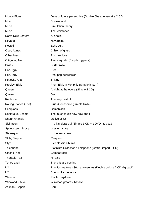| <b>Moody Blues</b>       | Days of future passed live (Double 50e anniversaire 2 CD)        |
|--------------------------|------------------------------------------------------------------|
| Mum                      | Smilewound                                                       |
| Muse                     | Simulation theory                                                |
| Muse                     | The resistance                                                   |
| <b>Naive New Beaters</b> | A la folie                                                       |
| Nirvana                  | Nevermind                                                        |
| <b>Nosfell</b>           | Echo zulu                                                        |
| Obel, Agnes              | Citizen of glass                                                 |
| Other lives              | For their love                                                   |
| Ottignon, Aron           | Team aquatic (Simple digipack)                                   |
| <b>Pixies</b>            | Surfer rosa                                                      |
| Pop, Iggy                | Free                                                             |
| Pop, Iggy                | Post pop depression                                              |
| Popovic, Ana             | Trilogy                                                          |
| Presley, Elvis           | From Elvis in Menphis (Simple import)                            |
| Queen                    | A night at the opera (Simple 2 CD)                               |
| Queen                    | Jazz                                                             |
| Redbone                  | The very best of                                                 |
| Rolling Stones (The)     | Blue & lonesome (Simple limité)                                  |
| Scorpions                | Comeblack                                                        |
| Sheldrake, Cosmo         | The much much how how and I                                      |
| <b>Shunk Anansie</b>     | 25 live at 52                                                    |
| Sidilarsen               | In bikini dura sidi (Simple 1 CD + 1 DVD musical)                |
| Springsteen, Bruce       | Western stars                                                    |
| Statusquo                | In the army now                                                  |
| Stills, Stephen          | Carry on                                                         |
| Styx                     | Five classic albums                                              |
| Téléphone                | Platinium Collection : Téléphone (Coffret import 3 CD)           |
| Clash (The)              | Combat rock                                                      |
| <b>Therapie Taxi</b>     | Hit sale                                                         |
| Tones and I              | The kids are coming                                              |
| U <sub>2</sub>           | The Joshua tree - 30th anniversary (Double deluxe 2 CD digipack) |
| U <sub>2</sub>           | Songs of experience                                              |
| Weezer                   | Pacific daydream                                                 |
| Winwood, Steve           | Winwood greatest hits live                                       |
| Zelmani, Sophie          | Soul                                                             |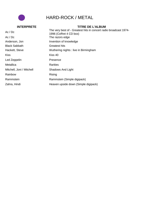

## HARD-ROCK / METAL

| Ac/DC                     | The very best of - Greatest hits in concert radio broadcast 1974-<br>1996 (Coffret 4 CD box) |
|---------------------------|----------------------------------------------------------------------------------------------|
| Ac/DC                     | The razors edge                                                                              |
| Anderson, Jon             | Invention of knowledge                                                                       |
| <b>Black Sabbath</b>      | <b>Greatest hits</b>                                                                         |
| Hackett, Steve            | Wuthering nights : live in Birmingham                                                        |
| <b>Kiss</b>               | Kiss 40                                                                                      |
| Led Zeppelin              | Presence                                                                                     |
| Metallica                 | Rarities                                                                                     |
| Mitchell, Joni / Mitchell | Shadows And Light                                                                            |
| Rainbow                   | Rising                                                                                       |
| Rammstein                 | Rammstein (Simple digipack)                                                                  |
| Zahra, Hindi              | Heaven upside down (Simple digipack)                                                         |
|                           |                                                                                              |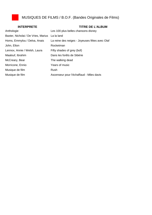

| <b>INTERPRETE</b>                   | <b>TITRE DE L'ALBUM</b>                        |
|-------------------------------------|------------------------------------------------|
| Anthologie                          | Les 100 plus belles chansons disney            |
| Baxter, Nicholai / De Vries, Marius | La la land                                     |
| Homs, Emmylou / Delva, Anais        | La reine des neiges - Joyeuses fêtes avec Olaf |
| John, Elton                         | Rocketman                                      |
| Lennox, Annie / Welsh, Laura        | Fifty shades of grey (bof)                     |
| Maalouf, Ibrahim                    | Dans les forêts de Sibérie                     |
| McCreary, Bear                      | The walking dead                               |
| Morricone, Ennio                    | Years of music                                 |
| Musique de film                     | Rush                                           |
| Musique de film                     | Ascenseur pour l'échaffaud - Miles davis       |
|                                     |                                                |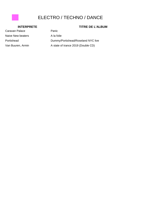## ELECTRO / TECHNO / DANCE

### **INTERPRETE TITRE DE L'ALBUM**

# Caravan Palace Panic Naive New beaters A la folie

Portishead Dummy/Portishead/Roseland NYC live Van Buuren, Armin A state of trance 2019 (Double CD)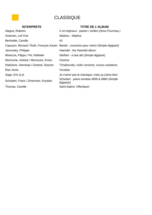## CLASSIQUE

| <b>INTERPRETE</b>                    | <b>TITRE DE L'ALBUM</b>                                                                  |
|--------------------------------------|------------------------------------------------------------------------------------------|
| Alagna, Roberto                      | 2 cd originaux : pasion / sicilien (Sous Fourreau.)                                      |
| Andsnes, Leif Ove                    | Sibelius - Sibelius                                                                      |
| Berthollet, Camille                  | #3                                                                                       |
|                                      | Capuçon, Renaud / Roth, François-Xavier Bartok : concertos pour violon (Simple digipack) |
| Jaroussky, Philippe                  | Haendel - the Haendel album                                                              |
| Mineccia, Filippo / Pè, Raffaele     | Steffani - a due alti (Simple digipack)                                                  |
| Morricone, Andrea / Morricone, Ennio | Cinema                                                                                   |
| Radulovic, Nemanja / Goetzel, Sascha | Tchaïkovsky: violin concerto; rococo variations                                          |
| Rial, Nuria                          | Vocalise                                                                                 |
| Sage, Eric (Le)                      | Je n'aime pas le classique, mais ça j'aime bien                                          |
| Schubert, Franz / Zimerman, Krystian | Schubert - piano sonatas d959 & d960 (Simple<br>digipack)                                |
| Thomas, Camille                      | Saint-Saëns: Offenbach                                                                   |
|                                      |                                                                                          |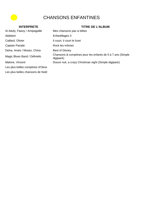## CHANSONS ENFANTINES

### **INTERPRETE TITRE DE L'ALBUM**

Al Aiedy, Fawzy / Amipagaille Mes chansons pas si bêtes Aldebert **Enfantillages 3** Caillard, Olivier **Il court, il court le furet** Captain Parade Rock les mômes Delva, Anaïs / Moses, China Best of Disney Magic Blues Band / Délimélo<br>
diginagly
diginagly
diginagly
diginagly
diginagly
diginagly
ne diginagly

Magic Blues Band / Délimélo digipack) Malone, Vincent **Douce nuit, a crazy Christmas night (Simple digipack)** Les plus belles comptines d'Okoo Les plus belles chansons de Noël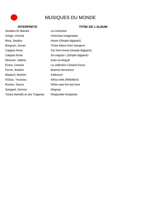## MUSIQUES DU MONDE

## Amadou Et Mariam La confusion Amigo, Vicente Vivencias imaginadas Bora, Seydou **Horon** (Simple digipack) Bregovic, Goran Three letters from Sarajevo Calypso Rose **Far from home (Simple digipack)** Calypso Rose So calypso ! (Simple digipack) Ekoume, Valerie Kwin na kinguè Evora, Cesaria La collection Cesaria Evora Ferrer, Ibrahim Buenos hermanos Maalouf, Ibrahim Kalthoum N'Dour, Youssou Africa rekk (Réédition) Rucker, Darius When was the last time Sangaré, Oumou Mogoya Yoska Nemeth et ses Tziganes Rhapsodie hongroise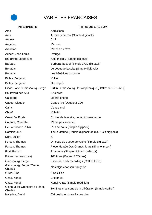## VARIETES FRANCAISES

| Amir                                        | Addictions                                                |
|---------------------------------------------|-----------------------------------------------------------|
| Amir                                        | Au coeur de moi (Simple digipack)                         |
| Angèle                                      | <b>Brol</b>                                               |
| Angélina                                    | Ma voie                                                   |
| Arcadian                                    | Marche ou rêve                                            |
| Aubert, Jean-Louis                          | Refuge                                                    |
| Bal Brotto-Lopez (Le)                       | Adiu miladiu (Simple digipack)                            |
| <b>Barbara</b>                              | Barbara, best of (Simple 2 CD digipack)                   |
| <b>Benabar</b>                              | Le début de la suite (Simple digipack)                    |
| Benabar                                     | Les bénéfices du doute                                    |
| Biolay, Benjamin                            | Volver                                                    |
| Biolay, Benjamin                            | Grand prix                                                |
| Birkin, Jane / Gainsbourg, Serge            | Birkin - Gainsbourg : le symphonique (Coffret 3 CD + DVD) |
| <b>Boulevard des Airs</b>                   | <b>Bruxelles</b>                                          |
| Calogero                                    | Liberté chérie                                            |
| Capeo, Claudio                              | Capéo live (Double 2 CD)                                  |
| Carla                                       | L'autre moi                                               |
| Chouf                                       | Volatils                                                  |
| <b>Coeur De Pirate</b>                      | En cas de tempête, ce jardin sera fermé                   |
| Couture, Charlélie                          | Même pas sommeil                                          |
| De La Simone, Albin                         | L'un de nous (Simple digipack)                            |
| Dominique A                                 | Toute latitude (Double digipack deluxe 2 CD digipack)     |
| Dore, Julien                                | &                                                         |
| Fersen, Thomas                              | Un coup de queue de vache (Simple digipack)               |
| Fersen, Thomas                              | Pièce Montée Des Grands Jours (Simple import)             |
| Fiori, Patrick                              | Promesse (Simple digipack collector)                      |
| Frères Jacques (Les)                        | 100 titres (Coffret 5 CD box)                             |
| Gainsbourg, Serge                           | Essential early recordings (Coffret 2 CD)                 |
| Gainsbourg, Serge / Trénet,<br>Charles      | Nostalgie chanson française                               |
| Gilles, Elsa                                | <b>Elsa Gilles</b>                                        |
| Girac, Kendji                               | Ensemble                                                  |
| Girac, Kendji                               | Kendji Girac (Simple réédition)                           |
| Glenn Miller Orchestra / Trénet,<br>Charles | 1944 les chansons de la Libération (Simple coffret)       |
| Hallyday, David                             | J'ai quelque chose à vous dire                            |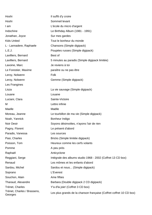| Hoshi                                  | Il suffit d'y croire                                                |
|----------------------------------------|---------------------------------------------------------------------|
| Hoshi                                  | Sommeil levant                                                      |
| I am                                   | L'école du micro d'argent                                           |
| Indochine                              | Le Birthday Album (1981 - 1991)                                     |
| Jonathan, Joyce                        | Sur mes gardes                                                      |
| <b>Kids United</b>                     | Tout le bonheur du monde                                            |
| L - Lannadere, Raphaele                | Chansons (Simple digipack)                                          |
| L.E.J.                                 | Poupées russes (Simple digipack)                                    |
| Lavilliers, Bernard                    | Best of                                                             |
| Lavilliers, Bernard                    | 5 minutes au paradis (Simple digipack limitée)                      |
| Lavoine, Marc                          | Je reviens à toi                                                    |
| Le Forestier, Maxime                   | paraître ou ne pas être                                             |
| Leroy, Nolwenn                         | Folk                                                                |
| Leroy, Nolwenn                         | Gemme (Simple digipack)                                             |
| Les Frangines                          |                                                                     |
| Lisza                                  | La vie sauvage (Simple digipack)                                    |
| Louane                                 | Louane                                                              |
| Luciani, Clara                         | Sainte-Victoire                                                     |
| М                                      | Lettre infinie                                                      |
| Maelle                                 | Maëlle                                                              |
| Moreau, Jeanne                         | Le tourbillon de ma vie (Simple digipack)                           |
| Noah, Yannick                          | Bonheur Indigo                                                      |
| Noir Desir                             | Soyons désinvoltes, n'ayons l'air de rien                           |
| Pagny, Florent                         | Le présent d'abord                                                  |
| Paradis, Vanessa                       | Les sources                                                         |
| Pasi, Charles                          | Bricks (Simple limitée digipack)                                    |
| Poisson, Tom                           | Heureux comme les cerfs volants                                     |
| Pomme                                  | A peu près                                                          |
| Raphaël                                | Anticyclone                                                         |
| Reggiani, Serge                        | Intégrale des albums studio 1968 - 2002 (Coffret 13 CD box)         |
| Renaud                                 | Les mômes et les enfants d'abord                                    |
| Sardou, Michel                         | Sardou et nous (Simple digipack)                                    |
| Soprano                                | L'Everest                                                           |
| Souchon, Alain                         | Ame fifties                                                         |
| Tharaud, Alexandre                     | Barbara (Double digipack 2 CD digipack)                             |
| Trénet, Charles                        | Y'a d'la joie! (Coffret 3 CD box)                                   |
| Trénet, Charles / Brassens,<br>Georges | Les plus grands de la chanson française (Coffret coffret 10 CD box) |